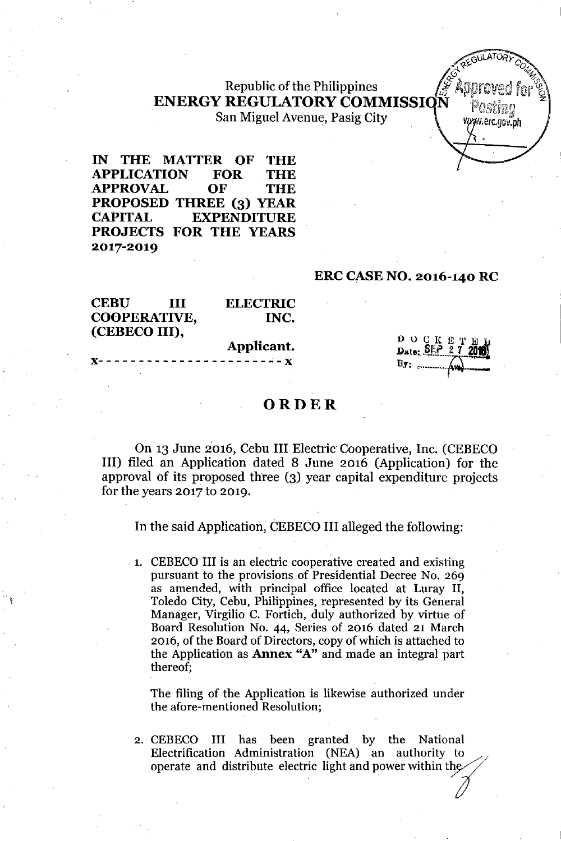# Republic of the Philippines<br>
REGULATORY COMMISSION Posting<br> **in Miguel Avenue Pasig City.**  $\textbf{ENERGY}\ \textbf{REGULATORY}\ \textbf{COMMISSIQN}\quad \textbf{P}_{\textbf{OSing}}\ \textbf{X}=\textbf{Z}$ San Miguel Avenue, Pasig City **With Case of Straw** With Watercrow.ph

IN THE MATTER OF THE APPLICATION FOR THE APPROVAL OF THE PROPOSED THREE (3) YEAR CAPITAL EXPENDITURE PROJECTS FOR THE YEARS 2017-2019

#### ERC CASENO. 2016-140 RC

~G\lLATO"~y*c.*

G\* REGISTRATION

| <b>CEBU</b>         | Ш | <b>ELECTRIC</b>                |                                  |
|---------------------|---|--------------------------------|----------------------------------|
| <b>COOPERATIVE,</b> |   | INC.                           |                                  |
| (CEBECO III),       |   |                                |                                  |
|                     |   | Applicant.                     | D O C K E T H<br>Date: SEP 27 20 |
|                     |   | $X$ ---------------------- $X$ | $B_{\overline{Y}}$ :             |
|                     |   |                                |                                  |

### ORDER

On 13 June 2016, Cebu III Electric Cooperative, Inc. (CEBECO III) filed an Application dated 8 June 2016 (Application) for the approval of its proposed three (3) year capital expenditure projects for the years 2017 to 2019.

In the said Application, CEBECO III alleged the following:

. 1. CEBECO III is an electric cooperative created and existing pursuant to the provisions of Presidential Decree No. 269 as amended, with principal office located at Luray II, Toledo City, Cebu, Philippines, represented by its General Manager, Virgilio C. Fortich, duly authorized by virtue of Board Resolution No. 44, Series of 2016 dated 21 March 2016, of the Board of Directors, copy of which is attached to the Application as Annex "A" and made an integral part thereof;

The filing of the Application is likewise authorized under the afore-mentioned Resolution;

2. CEBECO III has been granted by the National Electrification Administration (NEA) an authority to The filing of the Application is likewise authorized under<br>the afore-mentioned Resolution;<br>CEBECO III has been granted by the National<br>Electrification Administration (NEA) an authority to<br>operate and distribute electric li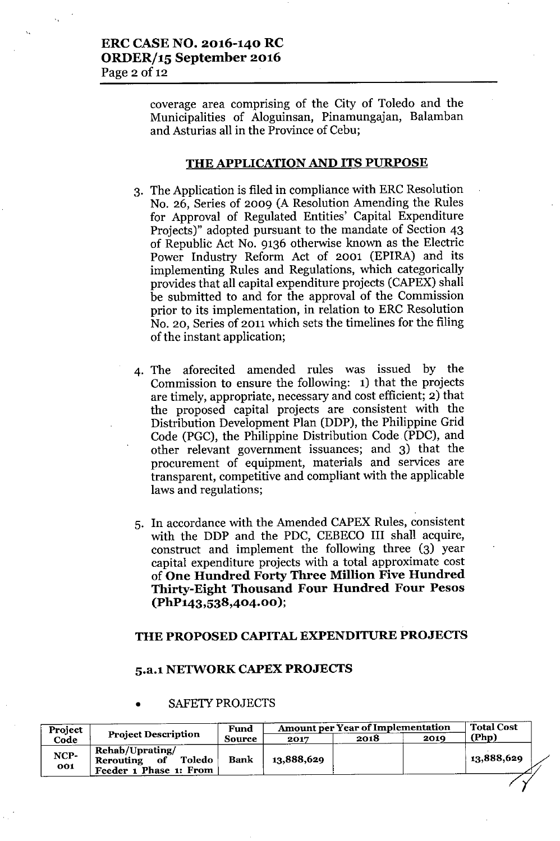coverage area comprising of the City of Toledo and the Municipalities of Aloguinsan, Pinamungajan, Balamban and Asturias all in the Province of Cebu;

#### THE APPLICATION AND ITS PURPOSE

- 3. The Application is filed in compliance with ERC Resolution No. 26, Series of 2009 (A Resolution Amending the Rules for Approval of Regulated Entities' Capital Expenditure Projects)" adopted pursuant to the mandate of Section 43 of Republic Act No. 9136 otherwise known as the Electric Power Industry Reform Act of 2001 (EPIRA) and its implementing Rules and Regulations, which categorically provides that all capital expenditure projects (CAPEX) shall be submitted to and for the approval of the Commission prior to its implementation, in relation to ERC Resolution No. 20, Series of 2011 which sets the timelines for the filing of the instant application;
- 4. The aforecited amended rules was issued by the Commission to ensure the following: 1) that the projects are timely, appropriate, necessary and cost efficient; 2) that the proposed capital projects are consistent with the Distribution Development Plan (DDP), the Philippine Grid Code (PGC), the Philippine Distribution Code (PDC), and other relevant government issuances; and 3) that the procurement of equipment, materials and services are transparent, competitive and compliant with the applicable laws and regulations;
- 5. In accordance with the Amended CAPEX Rules, consistent with the DDP and the PDC, CEBECO III shall acquire, construct and implement the following three (3) year capital expenditure projects with a total approximate cost of One Hundred Forty Three Million Five Hundred Thirty-Eight Thousand Four Hundred Four Pesos (PhP143,538,404.00 );

### THE PROPOSED CAPITAL EXPENDITURE PROJECTS

### 5.a.l NETWORK CAPEX PROJECTS

|                                                                     |                            |            |      | <b>Amount per Year of Implementation</b><br>Fund |            |  |
|---------------------------------------------------------------------|----------------------------|------------|------|--------------------------------------------------|------------|--|
|                                                                     | <b>Source</b>              | 2017       | 2018 | 2019                                             | (Php)      |  |
| Rehab/Uprating/<br>Toledo<br>Rerouting of<br>Feeder 1 Phase 1: From | Bank                       | 13,888,629 |      |                                                  | 13,888,629 |  |
|                                                                     | <b>Project Description</b> |            |      |                                                  |            |  |

#### SAFETY PROJECTS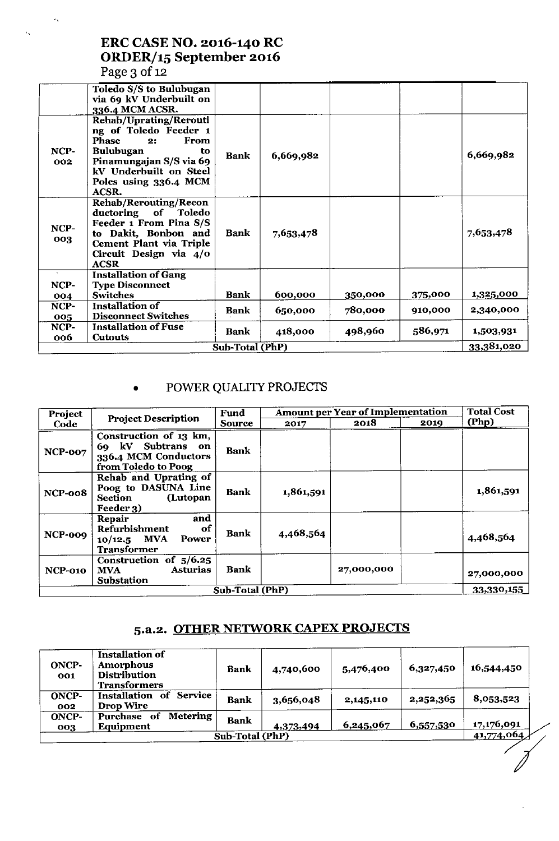# ERC CASE NO. 2016-140 RC ORDER/15 September 2016 Page 3 of 12

 $\epsilon_{\rm x}$ 

 $\hat{\mathbf{v}}_k$ 

|             | Toledo S/S to Bulubugan<br>via 69 kV Underbuilt on<br>336.4 MCM ACSR.                                                                                                                          |                 |           |         |         |            |
|-------------|------------------------------------------------------------------------------------------------------------------------------------------------------------------------------------------------|-----------------|-----------|---------|---------|------------|
| NCP-<br>002 | Rehab/Uprating/Rerouti<br>ng of Toledo Feeder 1<br>Phase<br><b>From</b><br>2:<br><b>Bulubugan</b><br>to<br>Pinamungajan S/S via 69<br>kV Underbuilt on Steel<br>Poles using 336.4 MCM<br>ACSR. | <b>Bank</b>     | 6,669,982 |         |         | 6,669,982  |
| NCP-<br>003 | <b>Rehab/Rerouting/Recon</b><br>ductoring of Toledo<br>Feeder 1 From Pina S/S<br>to Dakit, Bonbon and<br>Cement Plant via Triple<br>Circuit Design via 4/0<br><b>ACSR</b>                      | <b>Bank</b>     | 7,653,478 |         |         | 7,653,478  |
| NCP-        | <b>Installation of Gang</b><br><b>Type Disconnect</b>                                                                                                                                          |                 |           |         |         |            |
| 004         | <b>Switches</b>                                                                                                                                                                                | <b>Bank</b>     | 600,000   | 350,000 | 375,000 | 1,325,000  |
| NCP-        | <b>Installation of</b>                                                                                                                                                                         | Bank            | 650,000   | 780,000 | 910,000 | 2,340,000  |
| 005         | <b>Disconnect Switches</b>                                                                                                                                                                     |                 |           |         |         |            |
| NCP-<br>006 | <b>Installation of Fuse</b><br><b>Cutouts</b>                                                                                                                                                  | Bank            | 418,000   | 498,960 | 586,971 | 1,503,931  |
|             |                                                                                                                                                                                                | Sub-Total (PhP) |           |         |         | 33,381,020 |
|             |                                                                                                                                                                                                |                 |           |         |         |            |

# • POWER QUALITY PROJECTS

| Project        |                                                                                               | Fund                   |           | Amount per Year of Implementation |      | <b>Total Cost</b> |
|----------------|-----------------------------------------------------------------------------------------------|------------------------|-----------|-----------------------------------|------|-------------------|
| Code           | <b>Project Description</b>                                                                    | Source                 | 2017      | 2018                              | 2019 | (Php)             |
| NCP-007        | Construction of 13 km,<br>69 kV Subtrans<br>on<br>336.4 MCM Conductors<br>from Toledo to Poog | <b>Bank</b>            |           |                                   |      |                   |
| NCP-008        | Rehab and Uprating of<br>Poog to DASUNA Line<br>(Lutopan<br>Section<br>Feeder 3)              | <b>Bank</b>            | 1,861,591 |                                   |      | 1,861,591         |
| NCP-009        | and<br>Repair<br>Refurbishment<br>0f<br>$10/12.5$ MVA<br>Power<br><b>Transformer</b>          | <b>Bank</b>            | 4,468,564 |                                   |      | 4,468,564         |
| <b>NCP-010</b> | Construction of 5/6.25<br>Asturias<br><b>MVA</b><br>Substation                                | <b>Bank</b>            |           | 27,000,000                        |      | 27,000,000        |
|                |                                                                                               | <b>Sub-Total (PhP)</b> |           |                                   |      | 33,330,155        |

# 5.a.2. OTHER NETWORK CAPEX PROJECTS

| ONCP-<br>001        | <b>Installation of</b><br>Amorphous<br><b>Distribution</b><br>Transformers | Bank                   | 4,740,600 | 5,476,400 | 6,327,450 | 16,544,450 |
|---------------------|----------------------------------------------------------------------------|------------------------|-----------|-----------|-----------|------------|
| <b>ONCP-</b><br>002 | Service<br>Installation of<br>Drop Wire                                    | <b>Bank</b>            | 3,656,048 | 2,145,110 | 2,252,365 | 8,053,523  |
| ONCP-<br>003        | Metering<br>Purchase of<br>Equipment                                       | <b>Bank</b>            | 4,373,494 | 6,245,067 | 6,557,530 | 17,176,091 |
|                     |                                                                            | <b>Sub-Total (PhP)</b> |           |           |           | 41,774,064 |
|                     |                                                                            |                        |           |           |           |            |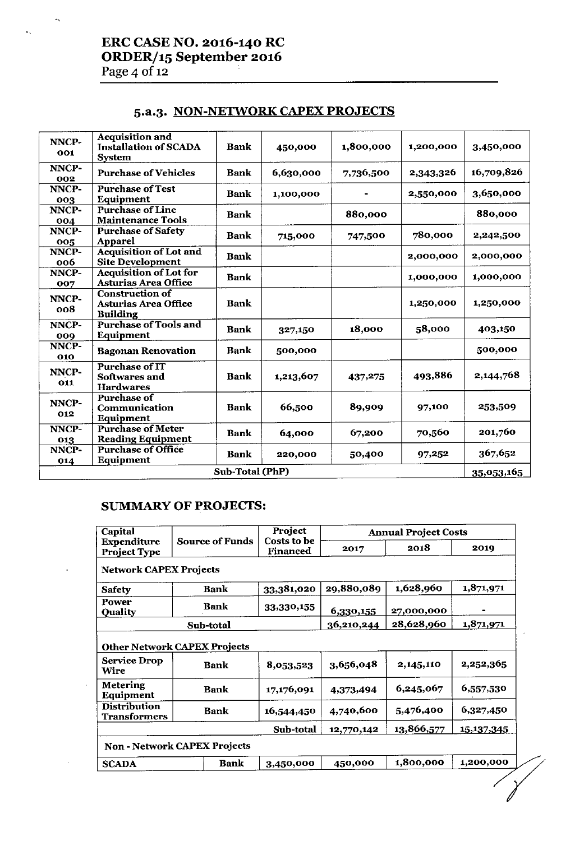# ERC CASE NO. 2016-140 RC ORDER/15 September 2016 Page 4 of 12

 $\ddot{\phantom{a}}$ 

 $\mathbf{A}_{\mathbf{A}^{\perp}}$ 

# 5.a.3. NON-NETWORK CAPEX PROJECTS

| NNCP-<br>001 | <b>Acquisition and</b><br><b>Installation of SCADA</b><br><b>System</b>  | <b>Bank</b>     | 450,000   | 1,800,000 | 1,200,000 | 3,450,000  |
|--------------|--------------------------------------------------------------------------|-----------------|-----------|-----------|-----------|------------|
| NNCP-<br>002 | <b>Purchase of Vehicles</b>                                              | <b>Bank</b>     | 6,630,000 | 7,736,500 | 2,343,326 | 16,709,826 |
| NNCP-<br>003 | <b>Purchase of Test</b><br><b>Equipment</b>                              | <b>Bank</b>     | 1,100,000 |           | 2,550,000 | 3,650,000  |
| NNCP-<br>004 | <b>Purchase of Line</b><br><b>Maintenance Tools</b>                      | <b>Bank</b>     |           | 880,000   |           | 880,000    |
| NNCP-<br>005 | <b>Purchase of Safety</b><br><b>Apparel</b>                              | <b>Bank</b>     | 715,000   | 747,500   | 780,000   | 2,242,500  |
| NNCP-<br>006 | <b>Acquisition of Lot and</b><br><b>Site Development</b>                 | <b>Bank</b>     |           |           | 2,000,000 | 2,000,000  |
| NNCP-<br>007 | <b>Acquisition of Lot for</b><br>Asturias Area Office                    | <b>Bank</b>     |           |           | 1,000,000 | 1,000,000  |
| NNCP-<br>008 | <b>Construction of</b><br><b>Asturias Area Office</b><br><b>Building</b> | <b>Bank</b>     |           |           | 1,250,000 | 1,250,000  |
| NNCP-<br>009 | <b>Purchase of Tools and</b><br>Equipment                                | <b>Bank</b>     | 327,150   | 18,000    | 58,000    | 403,150    |
| NNCP-<br>010 | <b>Bagonan Renovation</b>                                                | Bank            | 500,000   |           |           | 500,000    |
| NNCP-<br>011 | <b>Purchase of IT</b><br>Softwares and<br><b>Hardwares</b>               | <b>Bank</b>     | 1,213,607 | 437,275   | 493,886   | 2,144,768  |
| NNCP-<br>012 | <b>Purchase of</b><br>Communication<br>Equipment                         | <b>Bank</b>     | 66,500    | 89,909    | 97,100    | 253,509    |
| NNCP-<br>013 | <b>Purchase of Meter</b><br><b>Reading Equipment</b>                     | <b>Bank</b>     | 64,000    | 67,200    | 70,560    | 201,760    |
| NNCP-<br>014 | <b>Purchase of Office</b><br>Equipment                                   | <b>Bank</b>     | 220,000   | 50,400    | 97,252    | 367,652    |
|              |                                                                          | Sub-Total (PhP) |           |           |           | 35,053,165 |

## SUMMARY OF PROJECTS:

| Capital                                    |                                                    | Project                 | <b>Annual Project Costs</b> |            |            |  |
|--------------------------------------------|----------------------------------------------------|-------------------------|-----------------------------|------------|------------|--|
| Expenditure<br><b>Project Type</b>         | <b>Source of Funds</b>                             | Costs to be<br>Financed | 2017                        | 2018       | 2019       |  |
| <b>Network CAPEX Projects</b>              |                                                    |                         |                             |            |            |  |
| <b>Safety</b>                              | Bank                                               | 33,381,020              | 29,880,089                  | 1,628,960  | 1,871,971  |  |
| Power<br><b>Quality</b>                    | Bank                                               | 33,330,155              | 6,330,155                   | 27,000,000 |            |  |
|                                            | <b>Sub-total</b>                                   |                         | 36,210,244                  | 28,628,960 | 1,871,971  |  |
| <b>Service Drop</b><br>Wire                | <b>Other Network CAPEX Projects</b><br><b>Bank</b> | 8,053,523               | 3,656,048                   | 2,145,110  | 2,252,365  |  |
| <b>Metering</b><br>Equipment               | <b>Bank</b>                                        | 17,176,091              | 4.373,494                   | 6,245,067  | 6,557,530  |  |
| <b>Distribution</b><br><b>Transformers</b> | <b>Bank</b>                                        | 16,544,450              | 4,740,600                   | 5,476,400  | 6,327,450  |  |
|                                            |                                                    | Sub-total               | 12,770,142                  | 13,866,577 | 15,137,345 |  |
|                                            | <b>Non - Network CAPEX Projects</b>                |                         |                             |            |            |  |
| <b>SCADA</b>                               | <b>Bank</b>                                        | 3,450,000               | 450,000                     | 1,800,000  | 1,200,000  |  |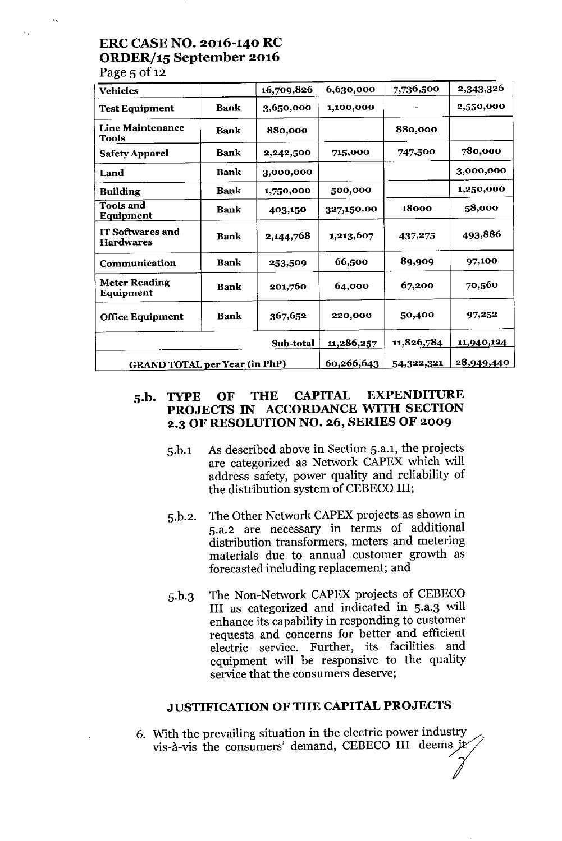# ERC CASE NO. 2016-140 RC ORDER/15 September 2016

Page  $5$  of 12

 $\Lambda$  .

| <b>Vehicles</b>                         |             | 16,709,826 | 6,630,000  | 7,736,500  | 2,343,326         |
|-----------------------------------------|-------------|------------|------------|------------|-------------------|
| <b>Test Equipment</b>                   | <b>Bank</b> | 3,650,000  | 1,100,000  |            | 2,550,000         |
| <b>Line Maintenance</b><br><b>Tools</b> | <b>Bank</b> | 880,000    |            | 880,000    |                   |
| <b>Safety Apparel</b>                   | <b>Bank</b> | 2,242,500  | 715,000    | 747,500    | 780,000           |
| Land                                    | <b>Bank</b> | 3,000,000  |            |            | 3,000,000         |
| <b>Building</b>                         | <b>Bank</b> | 1,750,000  | 500,000    |            | 1,250,000         |
| <b>Tools and</b><br>Equipment           | <b>Bank</b> | 403,150    | 327,150.00 | 18000      | 58,000            |
| IT Softwares and<br><b>Hardwares</b>    | <b>Bank</b> | 2,144,768  | 1,213,607  | 437,275    | 493,886           |
| Communication                           | <b>Bank</b> | 253,509    | 66,500     | 89,909     | 97,100            |
| <b>Meter Reading</b><br>Equipment       | <b>Bank</b> | 201,760    | 64,000     | 67,200     | 70,560            |
| <b>Office Equipment</b>                 | <b>Bank</b> | 367,652    | 220,000    | 50,400     | 97,252            |
|                                         |             | Sub-total  | 11,286,257 | 11,826,784 | 11,940,124        |
| <b>GRAND TOTAL per Year (in PhP)</b>    |             |            | 60,266,643 | 54,322,321 | <u>28,949,440</u> |

### S.b. TYPE OF THE CAPITAL EXPENDITURE PROJECTS IN ACCORDANCE WITH SECTION 2.3 OF RESOLUTION NO. 26, SERIES OF 2009

- 5.b.l As described above in Section 5.a.l, the projects are categorized as Network CAPEX which will address safety, power quality and reliability of the distribution system of CEBECO III;
- 5.b.2. The Other Network CAPEX projects as shown in 5.a.2 are necessary in terms of additional distribution transformers, meters and metering materials due to annual customer growth as forecasted including replacement; and
- 5.b.3 The Non-Network CAPEX projects of CEBECO III as categorized and indicated in 5.a.3 will enhance its capability in responding to customer requests and concerns for better and efficient electric service. Further, its facilities and equipment will be responsive to the quality service that the consumers deserve;

### JUSTIFICATION OF THE CAPITAL PROJECTS

6. With the prevailing situation in the electric power industry vis-à-vis the consumers' demand, CEBECO III deems je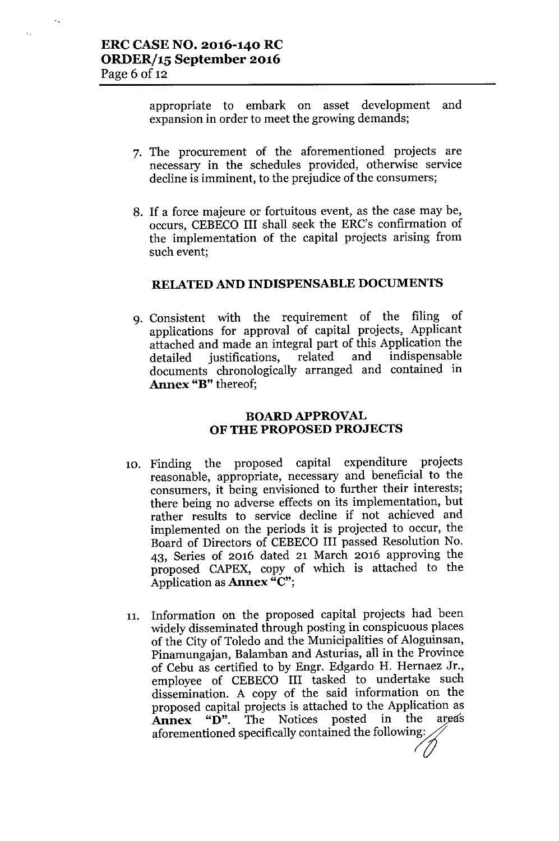$\mathbf{v}_\mathrm{A}$ 

appropriate to embark on asset development and expansion in order to meet the growing demands;

- 7. The procurement of the aforementioned projects are necessary in the schedules provided, otherwise service decline is imminent, to the prejudice of the consumers;
- 8. If a force majeure or fortuitous event, as the case may be, occurs, CEBECO III shall seek the ERC's confirmation of the implementation of the capital projects arising from such event;

#### RELATED AND INDISPENSABLE DOCUMENTS

9. Consistent with the requirement of the filing of applications for approval of capital projects, Applicant attached and made an integral part of this Application the detailed justifications, related and indispensable documents chronologically arranged and contained in Annex "B" thereof;

### BOARD APPROVAL OF THE PROPOSED PROJECTS

- 10. Finding the proposed capital expenditure projects reasonable, appropriate, necessary and beneficial to the consumers, it being envisioned to further their interests; there being no adverse effects on its implementation, but rather results to service decline if not achieved and implemented on the periods it is projected to occur, the Board of Directors of CEBECO III passed Resolution No. 43, Series of 2016 dated 21 March 2016 approving the proposed CAPEX, copy of which is attached to the Application as **Annex** "C";
- 11. Information on the proposed capital projects had been widely disseminated through posting in conspicuous places of the City of Toledo and the Municipalities of Aloguinsan, Pinamungajan, Balamban and Asturias, all in the Province of Cebu as certified to by Engr. Edgardo H. Hernaez Jr., employee of CEBECO III tasked to undertake such dissemination. A copy of the said information on the proposed capital projects is attached to the Application as<br>**Annex** "D". The Notices posted in the areas Annex " $\bar{D}$ ". The Notices posted in the areas aforementioned specifically contained the following: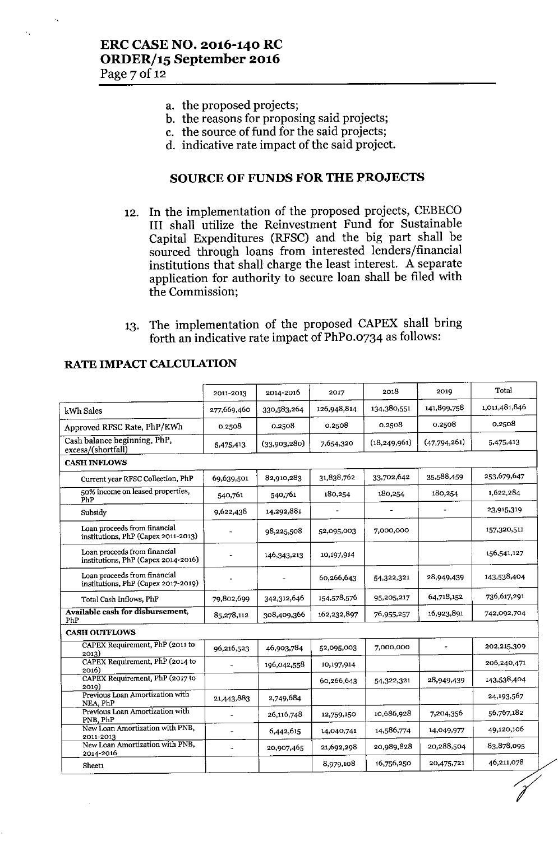- a. the proposed projects;
- b. the reasons for proposing said projects;
- c. the source of fund for the said projects;
- d. indicative rate impact of the said project.

# SOURCE OF FUNDS FOR THE PROJECTS

- 12. In the implementation of the proposed projects, CEBECO III shall utilize the Reinvestment Fund for Sustainable Capital Expenditures (RFSC) and the big part shall be sourced through loans from interested lenders/financial institutions that shall charge the least interest. A separate application for authority to secure loan shall be filed with the Commission;
- 13. The implementation of the proposed CAPEX shall bring forth an indicative rate impact of PhPo.0734 as follows:

|                                                                     | 2011-2013                | 2014-2016    | 2017        | 2018           | 2019         | Total         |
|---------------------------------------------------------------------|--------------------------|--------------|-------------|----------------|--------------|---------------|
| kWh Sales                                                           | 277,669,460              | 330,583,264  | 126,948,814 | 134.380,551    | 141,899,758  | 1,011,481,846 |
| Approved RFSC Rate, PhP/KWh                                         | 0.2508                   | 0.2508       | 0.2508      | 0.2508         | 0.2508       | 0.2508        |
| Cash balance beginning, PhP,<br>excess/(shortfall)                  | 5,475,413                | (33,903,280) | 7,654,320   | (18, 249, 961) | (47,794,261) | 5,475,413     |
| <b>CASH INFLOWS</b>                                                 |                          |              |             |                |              |               |
| Current year RFSC Collection, PhP                                   | 69,639,501               | 82,910,283   | 31,838,762  | 33,702,642     | 35,588,459   | 253,679,647   |
| 50% income on leased properties,<br>PhP                             | 540,761                  | 540,761      | 180,254     | 180,254        | 180,254      | 1,622,284     |
| Subsidy                                                             | 9,622,438                | 14,292,881   |             |                |              | 23,915,319    |
| Loan proceeds from financial<br>institutions, PhP (Capex 2011-2013) | $\overline{\phantom{a}}$ | 98,225,508   | 52,095,003  | 7,000,000      |              | 157,320,511   |
| Loan proceeds from financial<br>institutions, PhP (Capex 2014-2016) |                          | 146,343,213  | 10,197,914  |                |              | 156,541,127   |
| Loan proceeds from financial<br>institutions, PhP (Capex 2017-2019) |                          |              | 60,266,643  | 54,322,321     | 28,949,439   | 143,538,404   |
| Total Cash Inflows, PhP                                             | 79,802,699               | 342,312,646  | 154,578,576 | 95,205,217     | 64,718,152   | 736,617,291   |
| Available cash for disbursement,<br>PhP                             | 85,278,112               | 308,409.366  | 162,232,897 | 76,955,257     | 16,923,891   | 742,092,704   |
| <b>CASH OUTFLOWS</b>                                                |                          |              |             |                |              |               |
| CAPEX Requirement, PhP (2011 to<br>2013)                            | 96,216,523               | 46,903,784   | 52,095,003  | 7,000,000      |              | 202,215,309   |
| CAPEX Requirement, PhP (2014 to<br>2016)                            |                          | 196,042,558  | 10,197,914  |                |              | 206,240,471   |
| CAPEX Requirement, PhP (2017 to                                     |                          |              | 60,266,643  | 54,322,321     | 28,949,439   | 143,538,404   |
| 2019)<br>Previous Loan Amortization with<br>NEA, PhP                | 21,443,883               | 2,749,684    |             |                |              | 24,193,567    |
| Previous Loan Amortization with<br>PNB, PhP                         | $\blacksquare$           | 26,116,748   | 12,759,150  | 10,686,928     | 7,204,356    | 56,767,182    |
| New Loan Amortization with PNB,                                     | $\equiv$                 | 6,442,615    | 14,040,741  | 14.586,774     | 14,049,977   | 49,120,106    |
| 2011-2013<br>New Loan Amortization with PNB,                        | $\Delta$                 | 20,907.465   | 21,692,298  | 20,989,828     | 20,288,504   | 83,878,095    |
| 2014-2016<br>Sheet1                                                 |                          |              | 8,979.108   | 16,756,250     | 20,475,721   | 46,211,078    |

#### RATE IMPACT CALCUIATION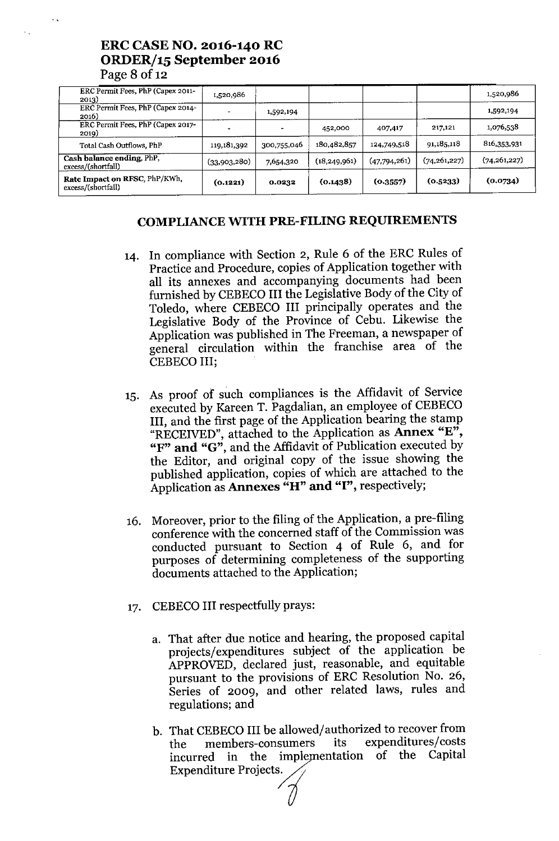| Rate Impact on RFSC, PhP/KWh,<br>excess/(shortfall) | (0.1221)     | 0.0232      | (0.1438)       | (0.3557)     | (0.5233)       | (0.0734)       |
|-----------------------------------------------------|--------------|-------------|----------------|--------------|----------------|----------------|
| Cash balance ending, PhP,<br>excess/(shortfall)     | (33,903,280) | 7,654,320   | (18, 249, 961) | (47,794,261) | (74, 261, 227) | (74, 261, 227) |
| Total Cash Outflows, PhP                            | 119,181,392  | 300,755,046 | 180,482,857    | 124,749,518  | 91,185,118     | 816,353.931    |
| ERC Permit Fees, PhP (Capex 2017-<br>2019)          |              |             | 452,000        | 407,417      | 217,121        | 1,076,538      |
| ERC Permit Fees, PhP (Capex 2014-<br>2016)          |              | 1,592,194   |                |              |                | 1,592,194      |
| ERC Permit Fees, PhP (Capex 2011-<br>2013)          | 986, 1520    |             |                |              |                | 1,520,986      |

# ERC CASE NO. 2016-140 RC ORDER/15 September 2016

 $P$ age 8 of 12

 $\mathcal{F}_{\mathcal{A}}$ 

### COMPLIANCE WITH PRE-FILING REQUIREMENTS

- 14. In compliance with Section 2, Rule 6 of the ERC Rules of Practice and Procedure, copies of Application together with all its annexes and accompanying documents had been furnished by CEBECO III the Legislative Body of the City of Toledo, where CEBECO III principally operates and the Legislative Body of the Province of Cebu. Likewise the Application was published in The Freeman, a newspaper of general circulation within the franchise area of the CEBECOIII;
- 15. As proof ot such compliances is the Affidavit of Service executed by Kareen T. Pagdalian, an employee of CEBECO III, and the first page of the Application bearing the stamp "RECEIVED", attached to the Application as Annex "E", "F" and "G", and the Affidavit of Publication executed by the Editor, and original copy of the issue showing the published application, copies of which are attached to the Application as Annexes "H" and "I", respectively;
- 16. Moreover, prior to the filing of the Application, a pre-filing conference with the concerned staff of the Commission was conducted pursuant to Section 4 of Rule 6, and for purposes of determining completeness of the supporting documents attached to the Application;
- 17. CEBECO III respectfully prays:
	- a. That after due notice and hearing, the proposed capital projects/expenditures subject of the application be APPROVED, declared just, reasonable, and equitable pursuant to the provisions of ERC Resolution No. 26, Series of 2009, and other related laws, rules and regulations; and
	- b. That CEBECO III be allowed/authorized to recover from the members-consumers its expenditures/costs incurred in the implementation of the Capital Expenditure Projects.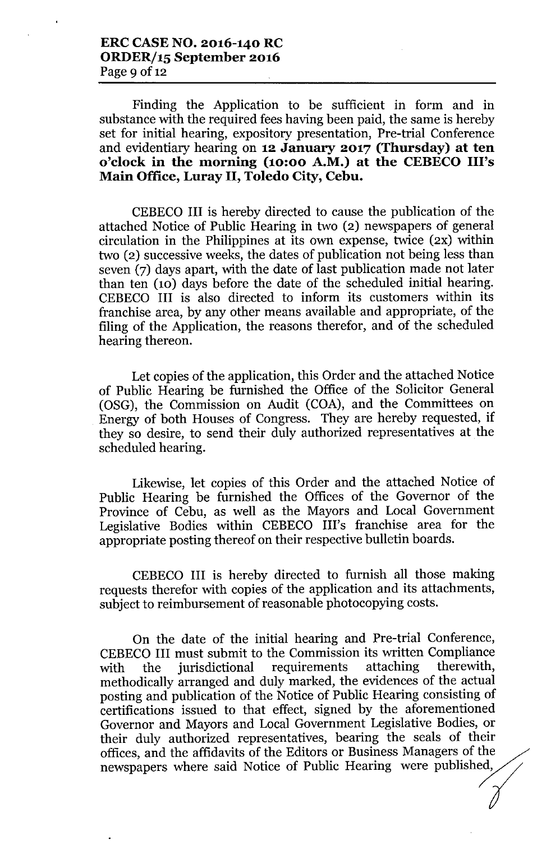Finding the Application to be sufficient in form and in substance with the required fees having been paid, the same is hereby set for initial hearing, expository presentation, Pre-trial Conference and evidentiary hearing on **12 January 2017 (Thursday) at ten o'clock in the morning (10:00 A.M.) at the CEBECO Ill's Main Office, Luray II, Toledo City, Cebu.**

CEBECO **III** is hereby directed to cause the publication of the attached Notice of Public Hearing in two (2) newspapers of general circulation in the Philippines at its own expense, twice (2X) within two (2) successive weeks, the dates of publication not being less than seven (7) days apart, with the date of last publication made not later than ten (10) days before the date of the scheduled initial hearing. CEBECO **III** is also directed to inform its customers within its franchise area, by any other means available and appropriate, of the filing of the Application, the reasons therefor, and of the scheduled hearing thereon.

Let copies of the application, this Order and the attached Notice of Public Hearing be furnished the Office of the Solicitor General (OSG), the Commission on Audit (COA), and the Committees on Energy of both Houses of Congress. They are hereby requested, if they so desire, to send their duly authorized representatives at the scheduled hearing.

Likewise, let copies of this Order and the attached Notice of Public Hearing be furnished the Offices of the Governor of the Province of Cebu, as well as the Mayors and Local Government Legislative Bodies within CEBECO Ill's franchise area for the appropriate posting thereof on their respective bulletin boards.

CEBECO **III** is hereby directed to furnish all those making requests therefor with copies of the application and its attachments, subject to reimbursement of reasonable photocopying costs.

On the date of the initial hearing and Pre-trial Conference, CEBECO**III** must submit to the Commission its written Compliance with the jurisdictional requirements methodically arranged and duly marked, the evidences of the actual posting and publication of the Notice of Public Hearing consisting of certifications issued to that effect, signed by the aforementioned Governor and Mayors and Local Government Legislative Bodies, or their duly authorized representatives, bearing the seals of their offices, and the affidavits of the Editors or Business Managers of the newspapers where said Notice of Public Hearing were published,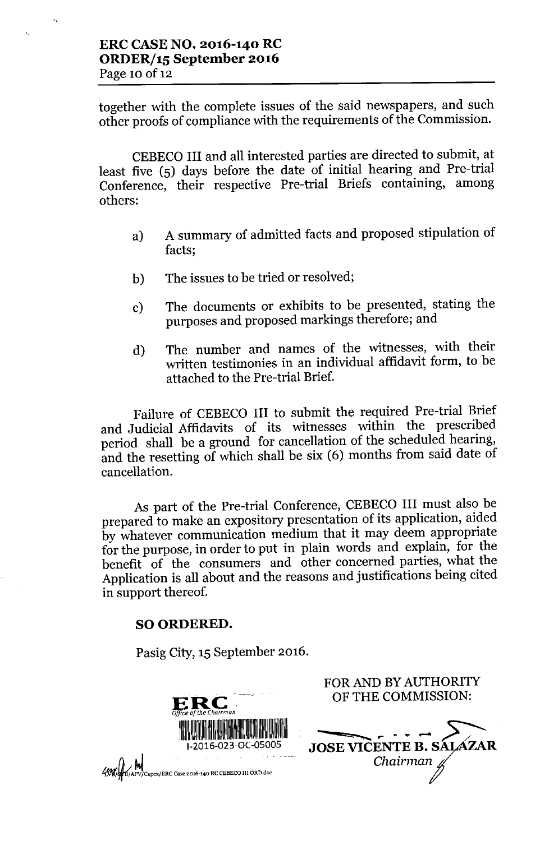"

"

together with the complete issues of the said newspapers, and such other proofs of compliance with the requirements of the Commission.

CEBECO III and all interested parties are directed to submit, at least five (5) days before the date of initial hearing and Pre-trial Conference, their respective Pre-trial Briefs containing, among others:

- a) A summary of admitted facts and proposed stipulation of facts;
- b) The issues to be tried or resolved;
- c) The documents or exhibits to be presented, stating the purposes and proposed markings therefore; and
- d) The number and names of the witnesses, with their written testimonies in an individual affidavit form, to be attached to the Pre-trial Brief.

Failure of CEBECO III to submit the required Pre-trial Brief and Judicial Affidavits of its witnesses within the prescribed period shall be a ground for cancellation of the scheduled hearing, and the resetting of which shall be six (6) months from said date of cancellation.

As part of the Pre-trial Conference, CEBECO III must also be prepared to make an expository presentation of its application, aided by whatever communication medium that it may deem appropriate for the purpose, in order to put in plain words and explain, for the benefit of the consumers and other concerned parties, what the Application is all about and the reasons and justifications being cited in support thereof.

## SO ORDERED.

Pasig City, 15 September 2016.



FOR AND BY AUTHORITY OF THE COMMISSION:

JOSE VICENTE B. SALAZAR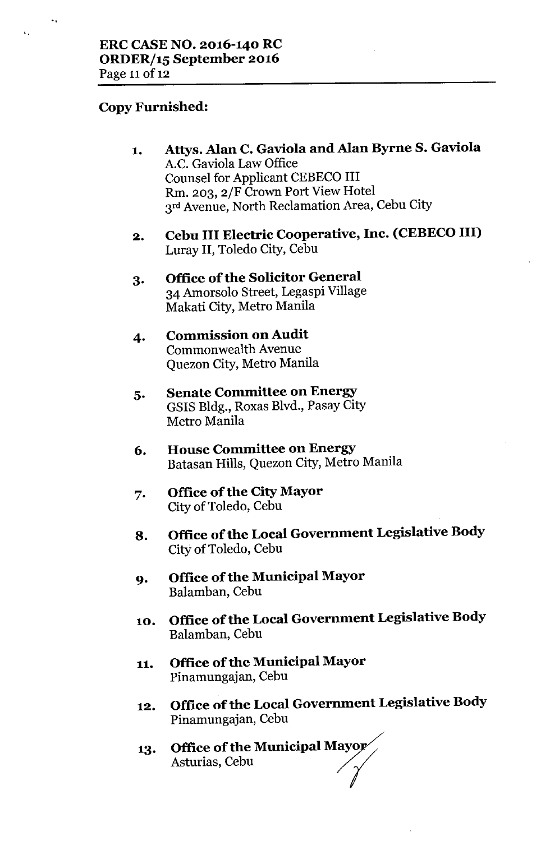# **Copy Furnished:**

'.

.,

- **1. Atlys. Alan C. Gaviola and Alan Byrne S. Gaviola** A.C. Gaviola Law Office Counsel for Applicant CEBECO III Rm. 203, 2/F Crown Port View Hotel 3rd Avenue, North Reclamation Area, Cebu City
- **2. Cebu III Electric Cooperative, Inc. (CEBECO III)** Luray **II,** Toledo City, Cebu
- **3. Office of the Solicitor General** 34 Amorsolo Street, Legaspi Village Makati City, Metro Manila
- **4. Commission on Audit** Commonwealth Avenue Quezon City, Metro Manila
- **5. Senate Committee on Energy** GSIS Bldg., Roxas Blvd., Pasay City Metro Manila
- **6. House Committee on Energy** Batasan Hills, Quezon City, Metro Manila
- **7. Office of the City Mayor** City of Toledo, Cebu
- **8. Office ofthe Local Government Legislative Body** City of Toledo, Cebu
- **9. Office of the Municipal Mayor** Balamban, Cebu
- **10. Office ofthe Local Government Legislative Body** Balamban, Cebu
- **11. Office of the Municipal Mayor** Pinamungajan, Cebu
- **12. Office of the Local Government Legislative Body** Pinamungajan, Cebu
- **13. Office of the Municipal Mayor** Asturias, Cebu